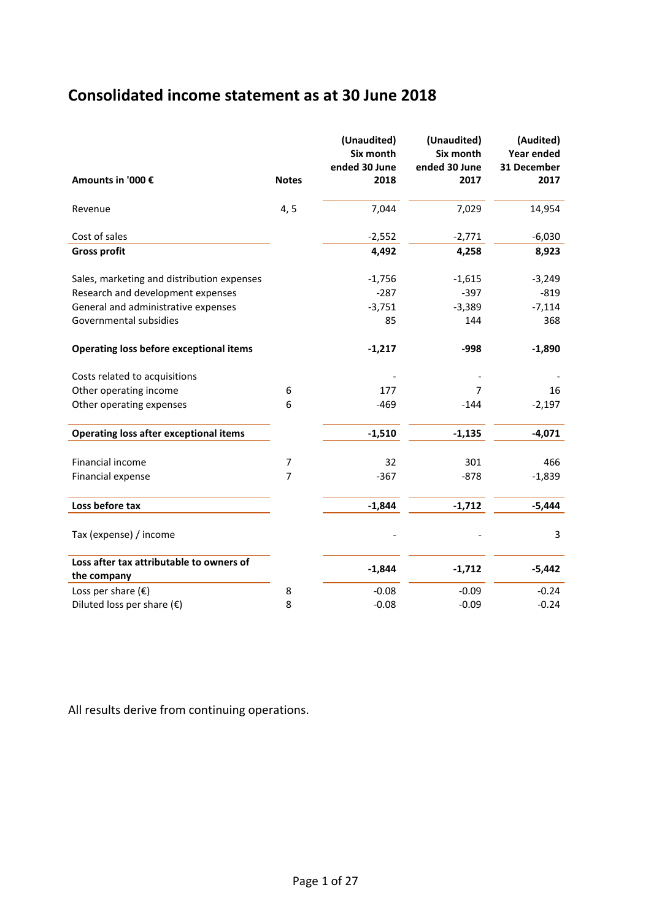## **Consolidated income statement as at 30 June 2018**

|                                                |                | (Unaudited)<br>Six month<br>ended 30 June | (Unaudited)<br>Six month<br>ended 30 June | (Audited)<br><b>Year ended</b><br>31 December |
|------------------------------------------------|----------------|-------------------------------------------|-------------------------------------------|-----------------------------------------------|
| Amounts in '000 €                              | <b>Notes</b>   | 2018                                      | 2017                                      | 2017                                          |
| Revenue                                        | 4, 5           | 7,044                                     | 7,029                                     | 14,954                                        |
| Cost of sales                                  |                | $-2,552$                                  | $-2,771$                                  | $-6,030$                                      |
| <b>Gross profit</b>                            |                | 4,492                                     | 4,258                                     | 8,923                                         |
| Sales, marketing and distribution expenses     |                | $-1,756$                                  | $-1,615$                                  | $-3,249$                                      |
| Research and development expenses              |                | $-287$                                    | $-397$                                    | $-819$                                        |
| General and administrative expenses            |                | $-3,751$                                  | $-3,389$                                  | $-7,114$                                      |
| Governmental subsidies                         |                | 85                                        | 144                                       | 368                                           |
| <b>Operating loss before exceptional items</b> |                | $-1,217$                                  | -998                                      | $-1,890$                                      |
| Costs related to acquisitions                  |                |                                           |                                           |                                               |
| Other operating income                         | 6              | 177                                       | 7                                         | 16                                            |
| Other operating expenses                       | 6              | $-469$                                    | $-144$                                    | $-2,197$                                      |
| <b>Operating loss after exceptional items</b>  |                | $-1,510$                                  | $-1,135$                                  | $-4,071$                                      |
| Financial income                               | 7              | 32                                        | 301                                       | 466                                           |
| Financial expense                              | $\overline{7}$ | $-367$                                    | $-878$                                    | $-1,839$                                      |
| Loss before tax                                |                | $-1,844$                                  | $-1,712$                                  | $-5,444$                                      |
| Tax (expense) / income                         |                |                                           |                                           | 3                                             |
| Loss after tax attributable to owners of       |                | $-1,844$                                  | $-1,712$                                  | $-5,442$                                      |
| the company                                    |                |                                           |                                           |                                               |
| Loss per share $(E)$                           | 8              | $-0.08$                                   | $-0.09$                                   | $-0.24$                                       |
| Diluted loss per share $(\epsilon)$            | 8              | $-0.08$                                   | $-0.09$                                   | $-0.24$                                       |

All results derive from continuing operations.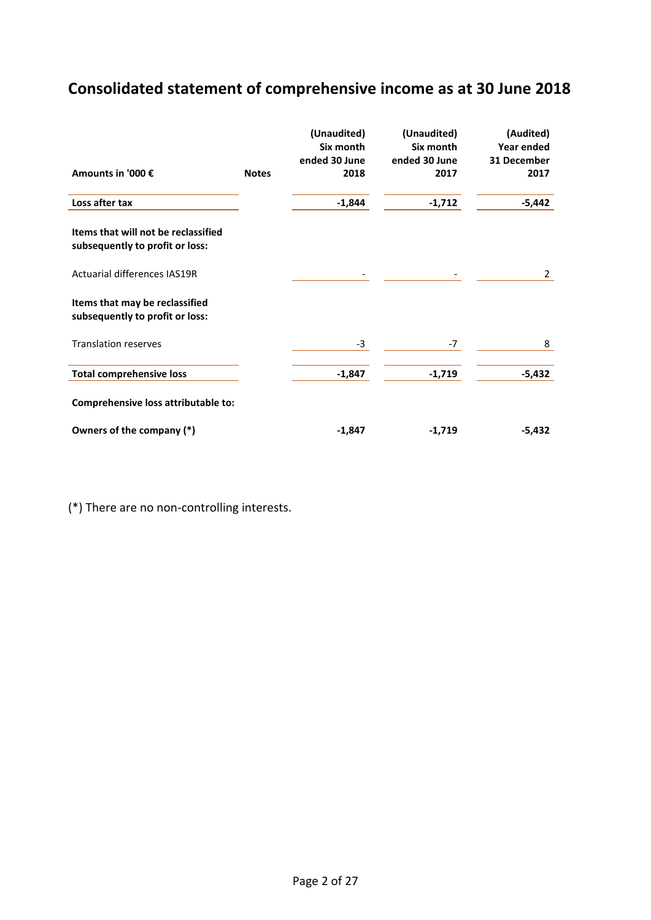# **Consolidated statement of comprehensive income as at 30 June 2018**

|                                                                        |              | (Unaudited)<br>Six month<br>ended 30 June | (Unaudited)<br>Six month<br>ended 30 June | (Audited)<br>Year ended<br>31 December |
|------------------------------------------------------------------------|--------------|-------------------------------------------|-------------------------------------------|----------------------------------------|
| Amounts in '000 €                                                      | <b>Notes</b> | 2018                                      | 2017                                      | 2017                                   |
| Loss after tax                                                         |              | $-1,844$                                  | $-1,712$                                  | -5,442                                 |
| Items that will not be reclassified<br>subsequently to profit or loss: |              |                                           |                                           |                                        |
| <b>Actuarial differences IAS19R</b>                                    |              |                                           |                                           | 2                                      |
| Items that may be reclassified<br>subsequently to profit or loss:      |              |                                           |                                           |                                        |
| <b>Translation reserves</b>                                            |              | $-3$                                      | $-7$                                      | 8                                      |
| <b>Total comprehensive loss</b>                                        |              | $-1,847$                                  | $-1,719$                                  | $-5,432$                               |
| Comprehensive loss attributable to:                                    |              |                                           |                                           |                                        |
| Owners of the company (*)                                              |              | $-1,847$                                  | $-1,719$                                  | -5,432                                 |

(\*) There are no non-controlling interests.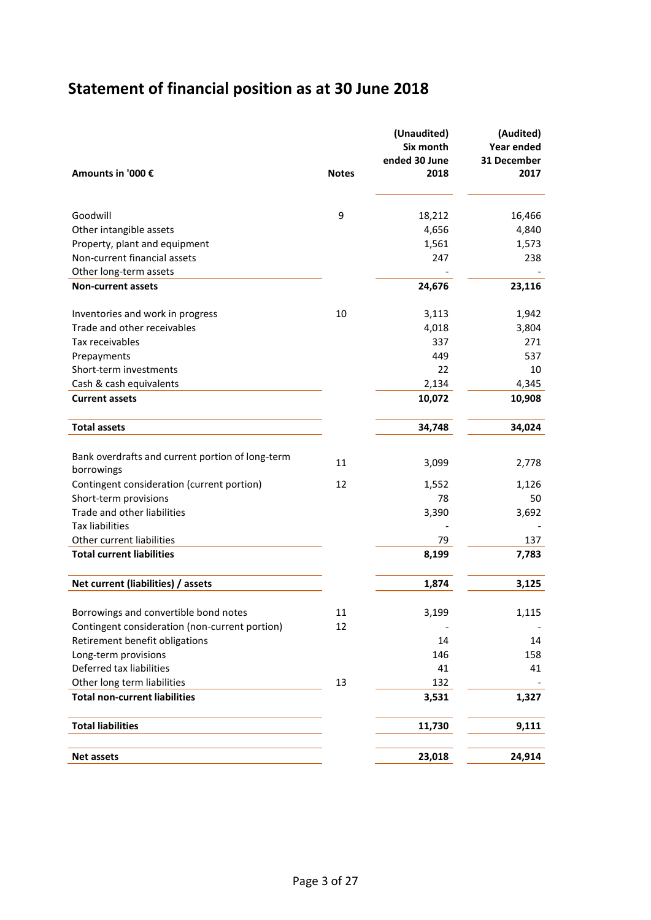# **Statement of financial position as at 30 June 2018**

|                                                  |              | (Unaudited)<br>Six month<br>ended 30 June | (Audited)<br>Year ended<br>31 December |
|--------------------------------------------------|--------------|-------------------------------------------|----------------------------------------|
| Amounts in '000 €                                | <b>Notes</b> | 2018                                      | 2017                                   |
| Goodwill                                         | 9            | 18,212                                    | 16,466                                 |
| Other intangible assets                          |              | 4,656                                     | 4,840                                  |
| Property, plant and equipment                    |              | 1,561                                     | 1,573                                  |
| Non-current financial assets                     |              | 247                                       | 238                                    |
| Other long-term assets                           |              |                                           |                                        |
| <b>Non-current assets</b>                        |              | 24,676                                    | 23,116                                 |
| Inventories and work in progress                 | 10           | 3,113                                     | 1,942                                  |
| Trade and other receivables                      |              | 4,018                                     | 3,804                                  |
| Tax receivables                                  |              | 337                                       | 271                                    |
| Prepayments                                      |              | 449                                       | 537                                    |
| Short-term investments                           |              | 22                                        | 10                                     |
| Cash & cash equivalents                          |              | 2,134                                     | 4,345                                  |
| <b>Current assets</b>                            |              | 10,072                                    | 10,908                                 |
| <b>Total assets</b>                              |              | 34,748                                    | 34,024                                 |
| Bank overdrafts and current portion of long-term |              |                                           |                                        |
| borrowings                                       | 11           | 3,099                                     | 2,778                                  |
| Contingent consideration (current portion)       | 12           | 1,552                                     | 1,126                                  |
| Short-term provisions                            |              | 78                                        | 50                                     |
| Trade and other liabilities                      |              | 3,390                                     | 3,692                                  |
| <b>Tax liabilities</b>                           |              |                                           |                                        |
| Other current liabilities                        |              | 79                                        | 137                                    |
| <b>Total current liabilities</b>                 |              | 8,199                                     | 7,783                                  |
| Net current (liabilities) / assets               |              | 1,874                                     | 3,125                                  |
| Borrowings and convertible bond notes            | 11           | 3,199                                     | 1,115                                  |
| Contingent consideration (non-current portion)   | 12           |                                           |                                        |
| Retirement benefit obligations                   |              | 14                                        | 14                                     |
| Long-term provisions                             |              | 146                                       | 158                                    |
| Deferred tax liabilities                         |              | 41                                        | 41                                     |
| Other long term liabilities                      | 13           | 132                                       |                                        |
| <b>Total non-current liabilities</b>             |              | 3,531                                     | 1,327                                  |
| <b>Total liabilities</b>                         |              | 11,730                                    | 9,111                                  |
| <b>Net assets</b>                                |              | 23,018                                    | 24,914                                 |
|                                                  |              |                                           |                                        |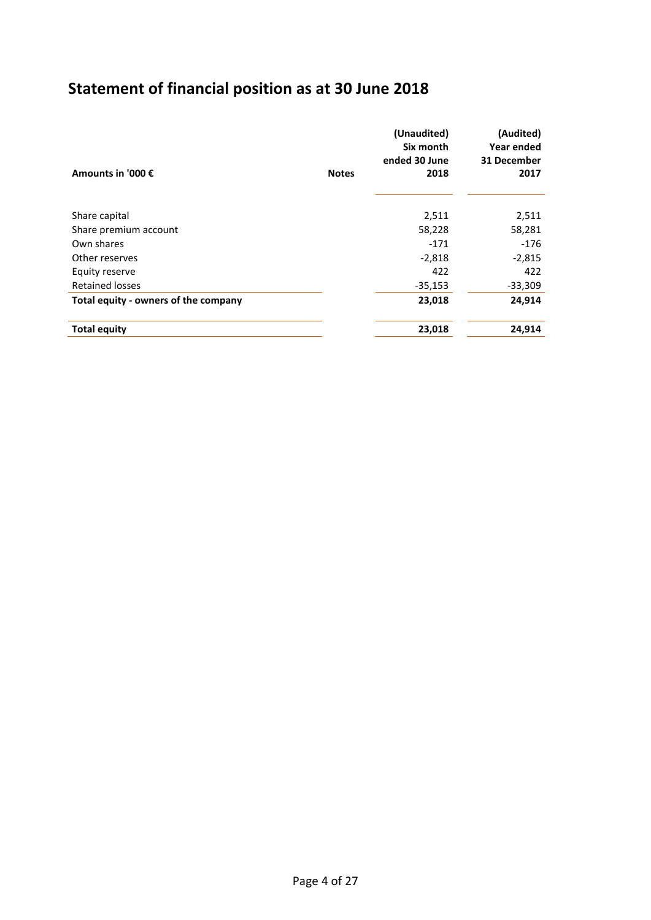# **Statement of financial position as at 30 June 2018**

| Amounts in '000 €                    | <b>Notes</b> | (Unaudited)<br>Six month<br>ended 30 June<br>2018 | (Audited)<br>Year ended<br>31 December<br>2017 |
|--------------------------------------|--------------|---------------------------------------------------|------------------------------------------------|
| Share capital                        |              | 2,511                                             | 2,511                                          |
| Share premium account                |              | 58,228                                            | 58,281                                         |
| Own shares                           |              | $-171$                                            | $-176$                                         |
| Other reserves                       |              | $-2,818$                                          | $-2,815$                                       |
| Equity reserve                       |              | 422                                               | 422                                            |
| <b>Retained losses</b>               |              | $-35,153$                                         | $-33,309$                                      |
| Total equity - owners of the company |              | 23,018                                            | 24,914                                         |
| <b>Total equity</b>                  |              | 23,018                                            | 24,914                                         |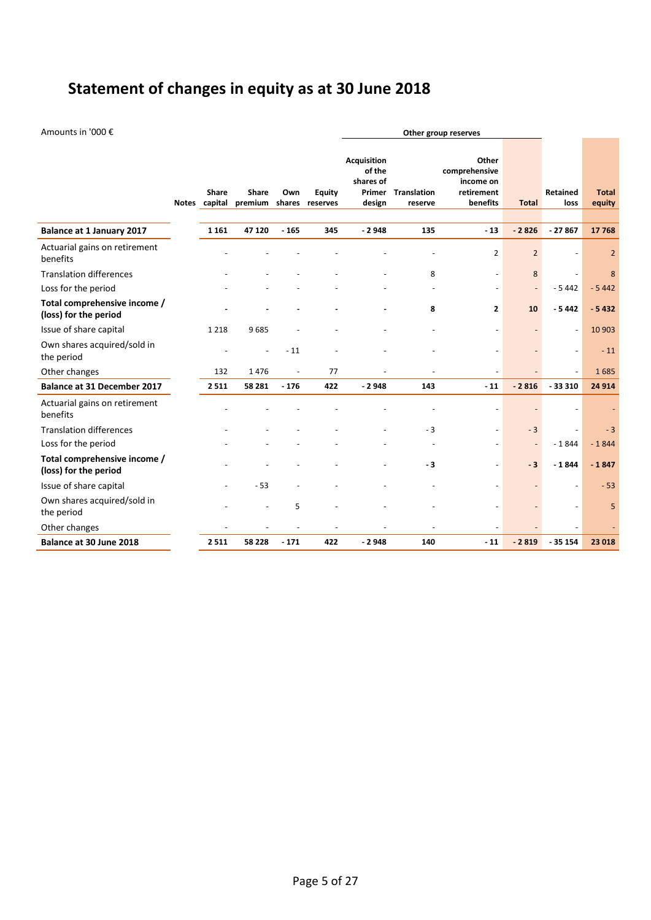# **Statement of changes in equity as at 30 June 2018**

Amounts in '000 € **Other group reserves**

|                                                       | Share<br>Notes capital | Share<br>premium shares | Own    | <b>Equity</b><br>reserves | <b>Acquisition</b><br>of the<br>shares of<br>design | <b>Primer</b> Translation<br>reserve | Other<br>comprehensive<br>income on<br>retirement<br>benefits | <b>Total</b>             | <b>Retained</b><br>loss  | <b>Total</b><br>equity |
|-------------------------------------------------------|------------------------|-------------------------|--------|---------------------------|-----------------------------------------------------|--------------------------------------|---------------------------------------------------------------|--------------------------|--------------------------|------------------------|
| <b>Balance at 1 January 2017</b>                      | 1 1 6 1                | 47 120                  | $-165$ | 345                       | $-2948$                                             | 135                                  | $-13$                                                         | $-2826$                  | $-27867$                 | 17768                  |
| Actuarial gains on retirement<br>benefits             |                        |                         |        |                           |                                                     |                                      | $\overline{2}$                                                | $\overline{2}$           |                          | $\overline{2}$         |
| <b>Translation differences</b>                        |                        |                         |        |                           |                                                     | 8                                    | $\overline{\phantom{a}}$                                      | 8                        | $\overline{\phantom{a}}$ | 8                      |
| Loss for the period                                   |                        |                         |        |                           |                                                     |                                      |                                                               | $\overline{\phantom{a}}$ | $-5442$                  | $-5442$                |
| Total comprehensive income /<br>(loss) for the period |                        |                         |        |                           |                                                     | 8                                    | $\mathbf{2}$                                                  | 10                       | $-5442$                  | $-5432$                |
| Issue of share capital                                | 1 2 1 8                | 9685                    |        |                           |                                                     |                                      | $\overline{\phantom{a}}$                                      |                          | $\overline{\phantom{a}}$ | 10 903                 |
| Own shares acquired/sold in<br>the period             |                        |                         | $-11$  |                           |                                                     |                                      |                                                               | $\overline{\phantom{a}}$ | $\overline{\phantom{a}}$ | $-11$                  |
| Other changes                                         | 132                    | 1476                    | $\sim$ | 77                        |                                                     | $\overline{a}$                       | $\overline{a}$                                                |                          | $\overline{a}$           | 1685                   |
| <b>Balance at 31 December 2017</b>                    | 2511                   | 58 281                  | $-176$ | 422                       | $-2948$                                             | 143                                  | $-11$                                                         | $-2816$                  | $-33310$                 | 24 9 14                |
| Actuarial gains on retirement<br>benefits             |                        |                         |        |                           |                                                     |                                      |                                                               |                          |                          |                        |
| <b>Translation differences</b>                        |                        |                         |        |                           |                                                     | $-3$                                 | $\overline{a}$                                                | $-3$                     | ÷,                       | $-3$                   |
| Loss for the period                                   |                        |                         |        |                           |                                                     |                                      |                                                               | $\overline{\phantom{a}}$ | $-1844$                  | $-1844$                |
| Total comprehensive income /<br>(loss) for the period |                        |                         |        |                           |                                                     | $-3$                                 |                                                               | $-3$                     | $-1844$                  | $-1847$                |
| Issue of share capital                                |                        | $-53$                   |        |                           |                                                     |                                      |                                                               |                          | $\overline{a}$           | $-53$                  |
| Own shares acquired/sold in<br>the period             |                        |                         | 5      |                           |                                                     |                                      |                                                               |                          | $\blacksquare$           | 5                      |
| Other changes                                         |                        |                         |        |                           |                                                     |                                      |                                                               |                          |                          |                        |
| Balance at 30 June 2018                               | 2511                   | 58 228                  | $-171$ | 422                       | $-2948$                                             | 140                                  | $-11$                                                         | $-2819$                  | $-35154$                 | 23 018                 |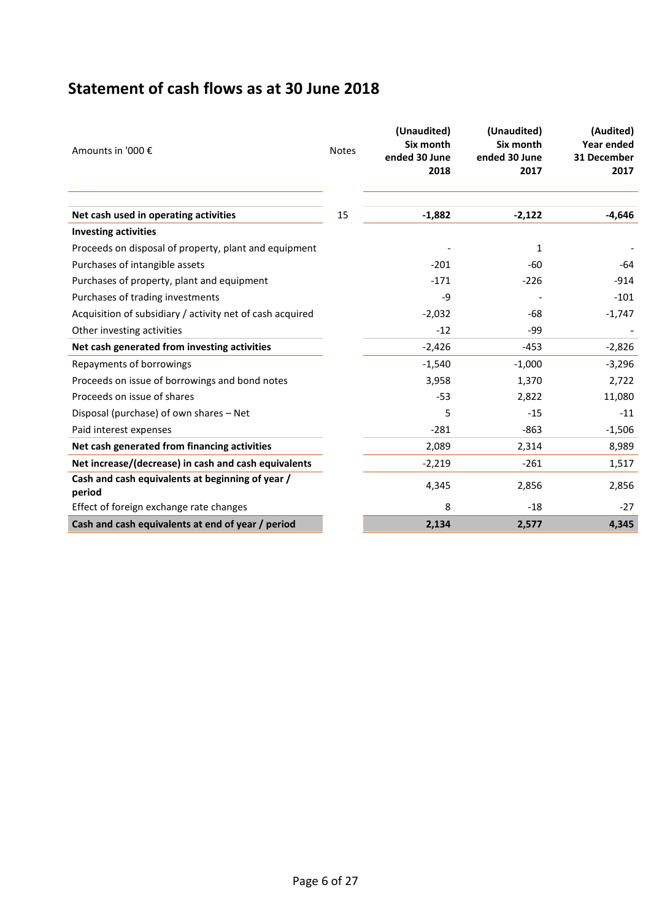## **Statement of cash flows as at 30 June 2018**

| Amounts in '000 €                                          | <b>Notes</b> | (Unaudited)<br>Six month<br>ended 30 June<br>2018 | (Unaudited)<br>Six month<br>ended 30 June<br>2017 | (Audited)<br>Year ended<br>31 December<br>2017 |
|------------------------------------------------------------|--------------|---------------------------------------------------|---------------------------------------------------|------------------------------------------------|
| Net cash used in operating activities                      | 15           | $-1,882$                                          | $-2,122$                                          | $-4,646$                                       |
| <b>Investing activities</b>                                |              |                                                   |                                                   |                                                |
| Proceeds on disposal of property, plant and equipment      |              |                                                   | 1                                                 |                                                |
| Purchases of intangible assets                             |              | $-201$                                            | $-60$                                             | -64                                            |
| Purchases of property, plant and equipment                 |              | $-171$                                            | $-226$                                            | $-914$                                         |
| Purchases of trading investments                           |              | -9                                                |                                                   | $-101$                                         |
| Acquisition of subsidiary / activity net of cash acquired  |              | $-2,032$                                          | -68                                               | $-1,747$                                       |
| Other investing activities                                 |              | $-12$                                             | -99                                               |                                                |
| Net cash generated from investing activities               |              | $-2,426$                                          | $-453$                                            | $-2,826$                                       |
| Repayments of borrowings                                   |              | $-1,540$                                          | $-1,000$                                          | $-3,296$                                       |
| Proceeds on issue of borrowings and bond notes             |              | 3,958                                             | 1,370                                             | 2,722                                          |
| Proceeds on issue of shares                                |              | $-53$                                             | 2,822                                             | 11,080                                         |
| Disposal (purchase) of own shares - Net                    |              | 5                                                 | $-15$                                             | $-11$                                          |
| Paid interest expenses                                     |              | $-281$                                            | $-863$                                            | $-1,506$                                       |
| Net cash generated from financing activities               |              | 2,089                                             | 2,314                                             | 8,989                                          |
| Net increase/(decrease) in cash and cash equivalents       |              | $-2,219$                                          | $-261$                                            | 1,517                                          |
| Cash and cash equivalents at beginning of year /<br>period |              | 4,345                                             | 2,856                                             | 2,856                                          |
| Effect of foreign exchange rate changes                    |              | 8                                                 | $-18$                                             | $-27$                                          |
| Cash and cash equivalents at end of year / period          |              | 2,134                                             | 2,577                                             | 4,345                                          |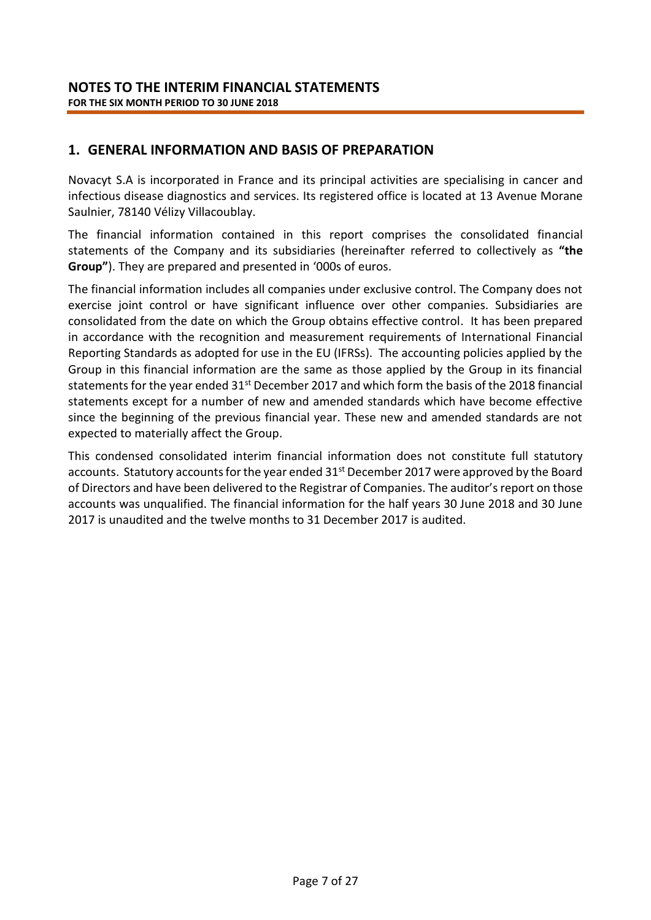### **1. GENERAL INFORMATION AND BASIS OF PREPARATION**

Novacyt S.A is incorporated in France and its principal activities are specialising in cancer and infectious disease diagnostics and services. Its registered office is located at 13 Avenue Morane Saulnier, 78140 Vélizy Villacoublay.

The financial information contained in this report comprises the consolidated financial statements of the Company and its subsidiaries (hereinafter referred to collectively as **"the Group"**). They are prepared and presented in '000s of euros.

The financial information includes all companies under exclusive control. The Company does not exercise joint control or have significant influence over other companies. Subsidiaries are consolidated from the date on which the Group obtains effective control. It has been prepared in accordance with the recognition and measurement requirements of International Financial Reporting Standards as adopted for use in the EU (IFRSs). The accounting policies applied by the Group in this financial information are the same as those applied by the Group in its financial statements for the year ended 31<sup>st</sup> December 2017 and which form the basis of the 2018 financial statements except for a number of new and amended standards which have become effective since the beginning of the previous financial year. These new and amended standards are not expected to materially affect the Group.

This condensed consolidated interim financial information does not constitute full statutory accounts. Statutory accounts for the year ended 31<sup>st</sup> December 2017 were approved by the Board of Directors and have been delivered to the Registrar of Companies. The auditor's report on those accounts was unqualified. The financial information for the half years 30 June 2018 and 30 June 2017 is unaudited and the twelve months to 31 December 2017 is audited.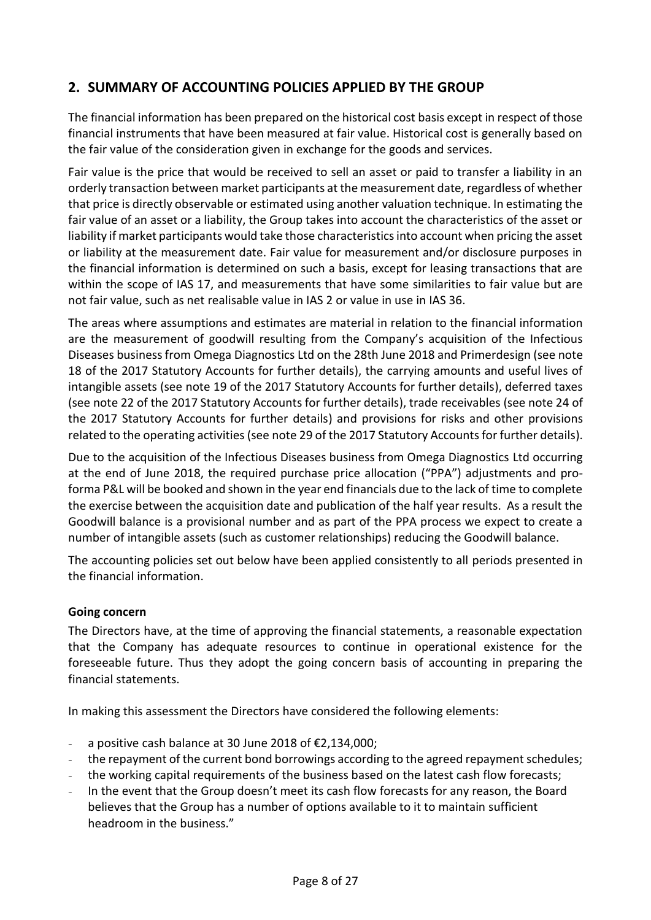### **2. SUMMARY OF ACCOUNTING POLICIES APPLIED BY THE GROUP**

The financial information has been prepared on the historical cost basis except in respect of those financial instruments that have been measured at fair value. Historical cost is generally based on the fair value of the consideration given in exchange for the goods and services.

Fair value is the price that would be received to sell an asset or paid to transfer a liability in an orderly transaction between market participants at the measurement date, regardless of whether that price is directly observable or estimated using another valuation technique. In estimating the fair value of an asset or a liability, the Group takes into account the characteristics of the asset or liability if market participants would take those characteristics into account when pricing the asset or liability at the measurement date. Fair value for measurement and/or disclosure purposes in the financial information is determined on such a basis, except for leasing transactions that are within the scope of IAS 17, and measurements that have some similarities to fair value but are not fair value, such as net realisable value in IAS 2 or value in use in IAS 36.

The areas where assumptions and estimates are material in relation to the financial information are the measurement of goodwill resulting from the Company's acquisition of the Infectious Diseases business from Omega Diagnostics Ltd on the 28th June 2018 and Primerdesign (see note 18 of the 2017 Statutory Accounts for further details), the carrying amounts and useful lives of intangible assets (see note 19 of the 2017 Statutory Accounts for further details), deferred taxes (see note 22 of the 2017 Statutory Accounts for further details), trade receivables (see note 24 of the 2017 Statutory Accounts for further details) and provisions for risks and other provisions related to the operating activities (see note 29 of the 2017 Statutory Accounts for further details).

Due to the acquisition of the Infectious Diseases business from Omega Diagnostics Ltd occurring at the end of June 2018, the required purchase price allocation ("PPA") adjustments and proforma P&L will be booked and shown in the year end financials due to the lack of time to complete the exercise between the acquisition date and publication of the half year results. As a result the Goodwill balance is a provisional number and as part of the PPA process we expect to create a number of intangible assets (such as customer relationships) reducing the Goodwill balance.

The accounting policies set out below have been applied consistently to all periods presented in the financial information.

### **Going concern**

The Directors have, at the time of approving the financial statements, a reasonable expectation that the Company has adequate resources to continue in operational existence for the foreseeable future. Thus they adopt the going concern basis of accounting in preparing the financial statements.

In making this assessment the Directors have considered the following elements:

- a positive cash balance at 30 June 2018 of €2,134,000;
- the repayment of the current bond borrowings according to the agreed repayment schedules;
- the working capital requirements of the business based on the latest cash flow forecasts;
- In the event that the Group doesn't meet its cash flow forecasts for any reason, the Board believes that the Group has a number of options available to it to maintain sufficient headroom in the business."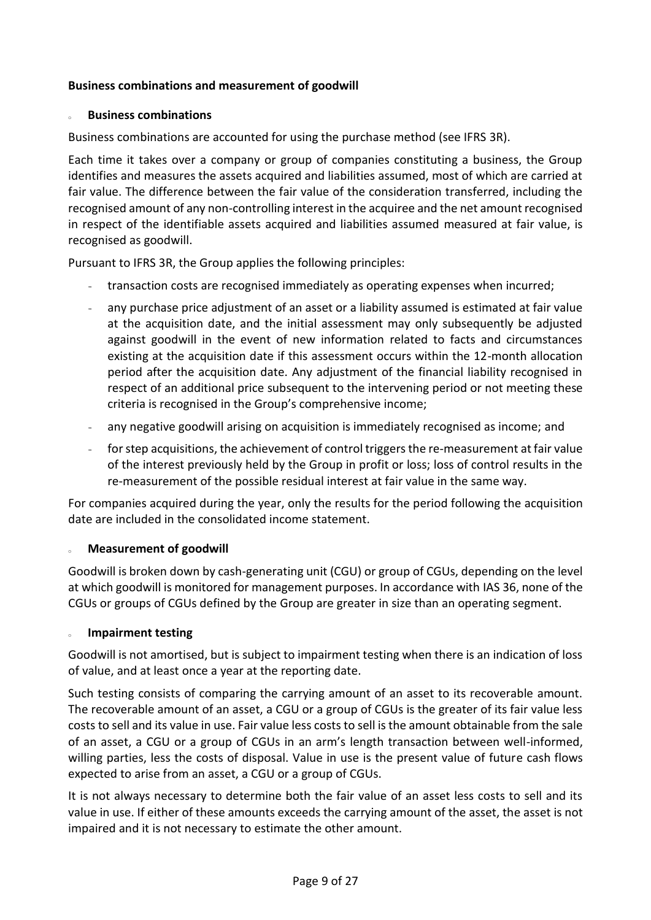### **Business combinations and measurement of goodwill**

### **Business combinations**

Business combinations are accounted for using the purchase method (see IFRS 3R).

Each time it takes over a company or group of companies constituting a business, the Group identifies and measures the assets acquired and liabilities assumed, most of which are carried at fair value. The difference between the fair value of the consideration transferred, including the recognised amount of any non-controlling interest in the acquiree and the net amount recognised in respect of the identifiable assets acquired and liabilities assumed measured at fair value, is recognised as goodwill.

Pursuant to IFRS 3R, the Group applies the following principles:

- transaction costs are recognised immediately as operating expenses when incurred;
- any purchase price adjustment of an asset or a liability assumed is estimated at fair value at the acquisition date, and the initial assessment may only subsequently be adjusted against goodwill in the event of new information related to facts and circumstances existing at the acquisition date if this assessment occurs within the 12-month allocation period after the acquisition date. Any adjustment of the financial liability recognised in respect of an additional price subsequent to the intervening period or not meeting these criteria is recognised in the Group's comprehensive income;
- any negative goodwill arising on acquisition is immediately recognised as income; and
- for step acquisitions, the achievement of control triggers the re-measurement at fair value of the interest previously held by the Group in profit or loss; loss of control results in the re-measurement of the possible residual interest at fair value in the same way.

For companies acquired during the year, only the results for the period following the acquisition date are included in the consolidated income statement.

### **Measurement of goodwill**

Goodwill is broken down by cash-generating unit (CGU) or group of CGUs, depending on the level at which goodwill is monitored for management purposes. In accordance with IAS 36, none of the CGUs or groups of CGUs defined by the Group are greater in size than an operating segment.

### <sup>o</sup> **Impairment testing**

Goodwill is not amortised, but is subject to impairment testing when there is an indication of loss of value, and at least once a year at the reporting date.

Such testing consists of comparing the carrying amount of an asset to its recoverable amount. The recoverable amount of an asset, a CGU or a group of CGUs is the greater of its fair value less costs to sell and its value in use. Fair value less costs to sell is the amount obtainable from the sale of an asset, a CGU or a group of CGUs in an arm's length transaction between well-informed, willing parties, less the costs of disposal. Value in use is the present value of future cash flows expected to arise from an asset, a CGU or a group of CGUs.

It is not always necessary to determine both the fair value of an asset less costs to sell and its value in use. If either of these amounts exceeds the carrying amount of the asset, the asset is not impaired and it is not necessary to estimate the other amount.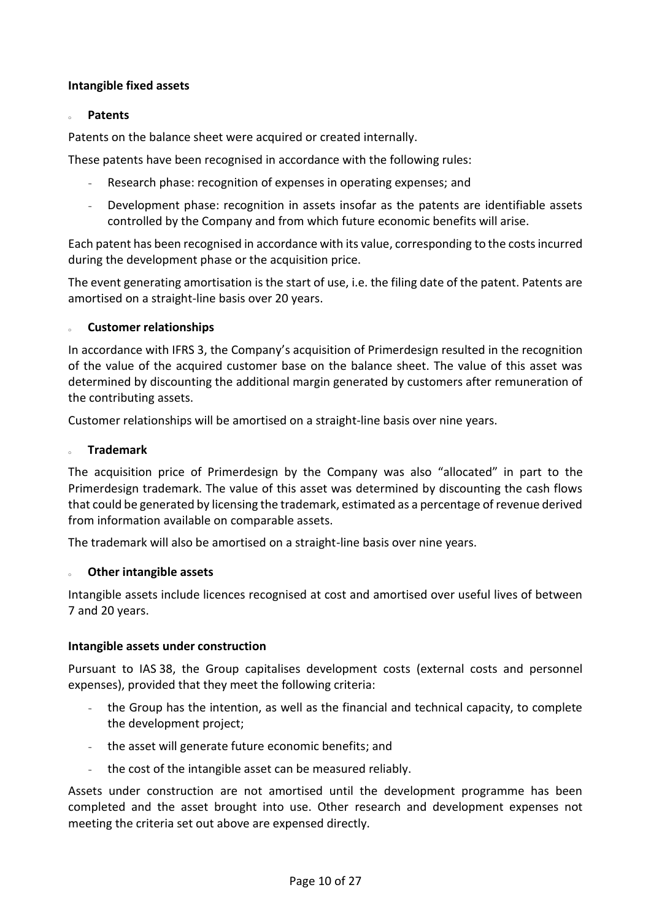### **Intangible fixed assets**

### <sup>o</sup> **Patents**

Patents on the balance sheet were acquired or created internally.

These patents have been recognised in accordance with the following rules:

- Research phase: recognition of expenses in operating expenses; and
- Development phase: recognition in assets insofar as the patents are identifiable assets controlled by the Company and from which future economic benefits will arise.

Each patent has been recognised in accordance with its value, corresponding to the costs incurred during the development phase or the acquisition price.

The event generating amortisation is the start of use, i.e. the filing date of the patent. Patents are amortised on a straight-line basis over 20 years.

### **Customer relationships**

In accordance with IFRS 3, the Company's acquisition of Primerdesign resulted in the recognition of the value of the acquired customer base on the balance sheet. The value of this asset was determined by discounting the additional margin generated by customers after remuneration of the contributing assets.

Customer relationships will be amortised on a straight-line basis over nine years.

### <sup>o</sup> **Trademark**

The acquisition price of Primerdesign by the Company was also "allocated" in part to the Primerdesign trademark. The value of this asset was determined by discounting the cash flows that could be generated by licensing the trademark, estimated as a percentage of revenue derived from information available on comparable assets.

The trademark will also be amortised on a straight-line basis over nine years.

### **Other intangible assets**

Intangible assets include licences recognised at cost and amortised over useful lives of between 7 and 20 years.

### **Intangible assets under construction**

Pursuant to IAS 38, the Group capitalises development costs (external costs and personnel expenses), provided that they meet the following criteria:

- the Group has the intention, as well as the financial and technical capacity, to complete the development project;
- the asset will generate future economic benefits; and
- the cost of the intangible asset can be measured reliably.

Assets under construction are not amortised until the development programme has been completed and the asset brought into use. Other research and development expenses not meeting the criteria set out above are expensed directly.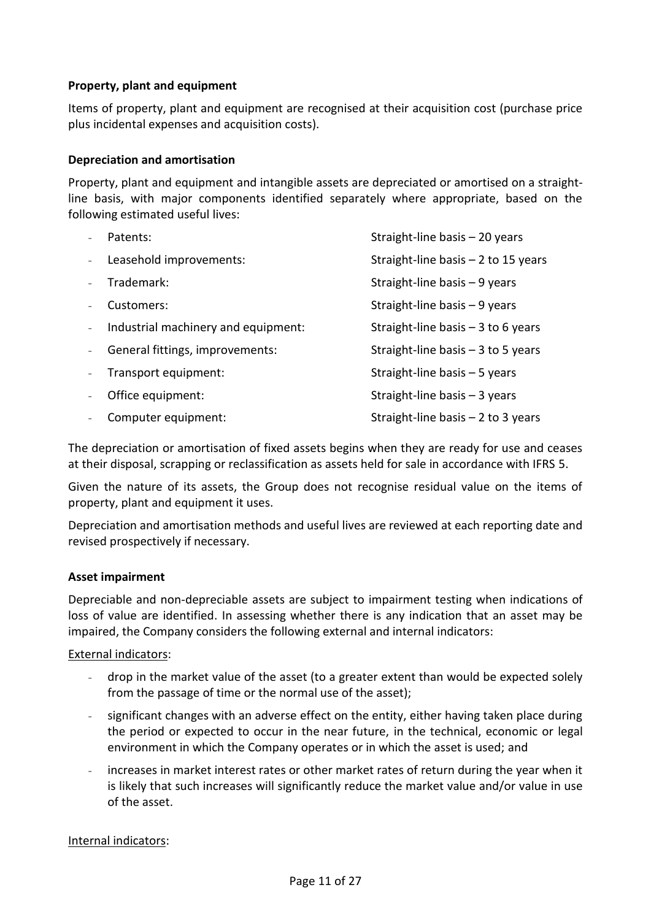### **Property, plant and equipment**

Items of property, plant and equipment are recognised at their acquisition cost (purchase price plus incidental expenses and acquisition costs).

### **Depreciation and amortisation**

Property, plant and equipment and intangible assets are depreciated or amortised on a straightline basis, with major components identified separately where appropriate, based on the following estimated useful lives:

| Patents:                            | Straight-line basis - 20 years       |
|-------------------------------------|--------------------------------------|
| Leasehold improvements:             | Straight-line basis $-2$ to 15 years |
| Trademark:                          | Straight-line basis $-9$ years       |
| Customers:                          | Straight-line basis $-9$ years       |
| Industrial machinery and equipment: | Straight-line basis $-3$ to 6 years  |
| General fittings, improvements:     | Straight-line basis $-3$ to 5 years  |
| Transport equipment:                | Straight-line basis - 5 years        |
| Office equipment:                   | Straight-line basis $-3$ years       |
| Computer equipment:                 | Straight-line basis $-2$ to 3 years  |

The depreciation or amortisation of fixed assets begins when they are ready for use and ceases at their disposal, scrapping or reclassification as assets held for sale in accordance with IFRS 5.

Given the nature of its assets, the Group does not recognise residual value on the items of property, plant and equipment it uses.

Depreciation and amortisation methods and useful lives are reviewed at each reporting date and revised prospectively if necessary.

### **Asset impairment**

Depreciable and non-depreciable assets are subject to impairment testing when indications of loss of value are identified. In assessing whether there is any indication that an asset may be impaired, the Company considers the following external and internal indicators:

### External indicators:

- drop in the market value of the asset (to a greater extent than would be expected solely from the passage of time or the normal use of the asset);
- significant changes with an adverse effect on the entity, either having taken place during the period or expected to occur in the near future, in the technical, economic or legal environment in which the Company operates or in which the asset is used; and
- increases in market interest rates or other market rates of return during the year when it is likely that such increases will significantly reduce the market value and/or value in use of the asset.

Internal indicators: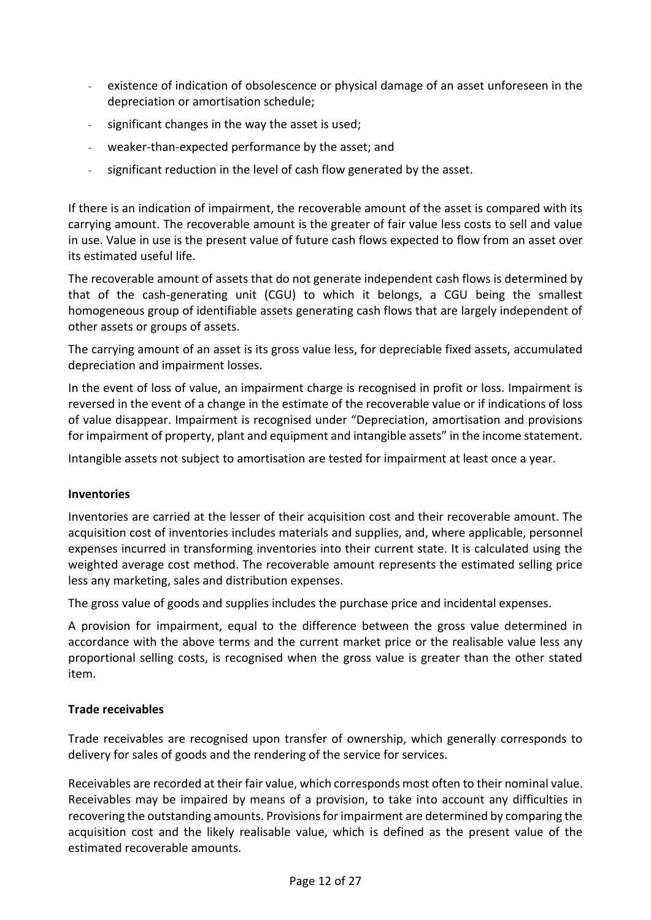- existence of indication of obsolescence or physical damage of an asset unforeseen in the depreciation or amortisation schedule;
- significant changes in the way the asset is used;
- weaker-than-expected performance by the asset; and
- significant reduction in the level of cash flow generated by the asset.

If there is an indication of impairment, the recoverable amount of the asset is compared with its carrying amount. The recoverable amount is the greater of fair value less costs to sell and value in use. Value in use is the present value of future cash flows expected to flow from an asset over its estimated useful life.

The recoverable amount of assets that do not generate independent cash flows is determined by that of the cash-generating unit (CGU) to which it belongs, a CGU being the smallest homogeneous group of identifiable assets generating cash flows that are largely independent of other assets or groups of assets.

The carrying amount of an asset is its gross value less, for depreciable fixed assets, accumulated depreciation and impairment losses.

In the event of loss of value, an impairment charge is recognised in profit or loss. Impairment is reversed in the event of a change in the estimate of the recoverable value or if indications of loss of value disappear. Impairment is recognised under "Depreciation, amortisation and provisions for impairment of property, plant and equipment and intangible assets" in the income statement.

Intangible assets not subject to amortisation are tested for impairment at least once a year.

### **Inventories**

Inventories are carried at the lesser of their acquisition cost and their recoverable amount. The acquisition cost of inventories includes materials and supplies, and, where applicable, personnel expenses incurred in transforming inventories into their current state. It is calculated using the weighted average cost method. The recoverable amount represents the estimated selling price less any marketing, sales and distribution expenses.

The gross value of goods and supplies includes the purchase price and incidental expenses.

A provision for impairment, equal to the difference between the gross value determined in accordance with the above terms and the current market price or the realisable value less any proportional selling costs, is recognised when the gross value is greater than the other stated item.

### **Trade receivables**

Trade receivables are recognised upon transfer of ownership, which generally corresponds to delivery for sales of goods and the rendering of the service for services.

Receivables are recorded at their fair value, which corresponds most often to their nominal value. Receivables may be impaired by means of a provision, to take into account any difficulties in recovering the outstanding amounts. Provisions for impairment are determined by comparing the acquisition cost and the likely realisable value, which is defined as the present value of the estimated recoverable amounts.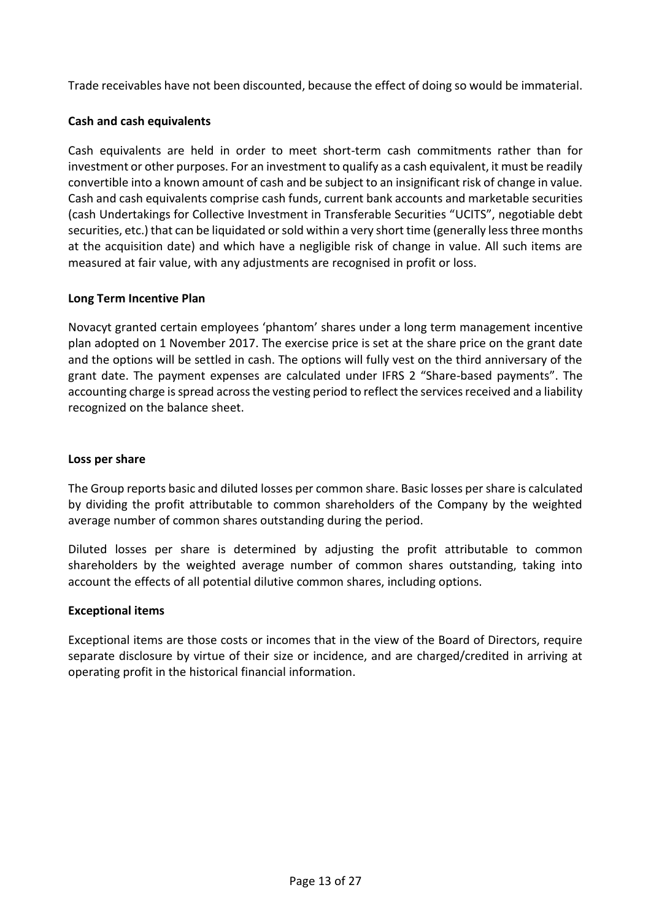Trade receivables have not been discounted, because the effect of doing so would be immaterial.

### **Cash and cash equivalents**

Cash equivalents are held in order to meet short-term cash commitments rather than for investment or other purposes. For an investment to qualify as a cash equivalent, it must be readily convertible into a known amount of cash and be subject to an insignificant risk of change in value. Cash and cash equivalents comprise cash funds, current bank accounts and marketable securities (cash Undertakings for Collective Investment in Transferable Securities "UCITS", negotiable debt securities, etc.) that can be liquidated or sold within a very short time (generally less three months at the acquisition date) and which have a negligible risk of change in value. All such items are measured at fair value, with any adjustments are recognised in profit or loss.

### **Long Term Incentive Plan**

Novacyt granted certain employees 'phantom' shares under a long term management incentive plan adopted on 1 November 2017. The exercise price is set at the share price on the grant date and the options will be settled in cash. The options will fully vest on the third anniversary of the grant date. The payment expenses are calculated under IFRS 2 "Share-based payments". The accounting charge is spread across the vesting period to reflect the services received and a liability recognized on the balance sheet.

### **Loss per share**

The Group reports basic and diluted losses per common share. Basic losses per share is calculated by dividing the profit attributable to common shareholders of the Company by the weighted average number of common shares outstanding during the period.

Diluted losses per share is determined by adjusting the profit attributable to common shareholders by the weighted average number of common shares outstanding, taking into account the effects of all potential dilutive common shares, including options.

### **Exceptional items**

Exceptional items are those costs or incomes that in the view of the Board of Directors, require separate disclosure by virtue of their size or incidence, and are charged/credited in arriving at operating profit in the historical financial information.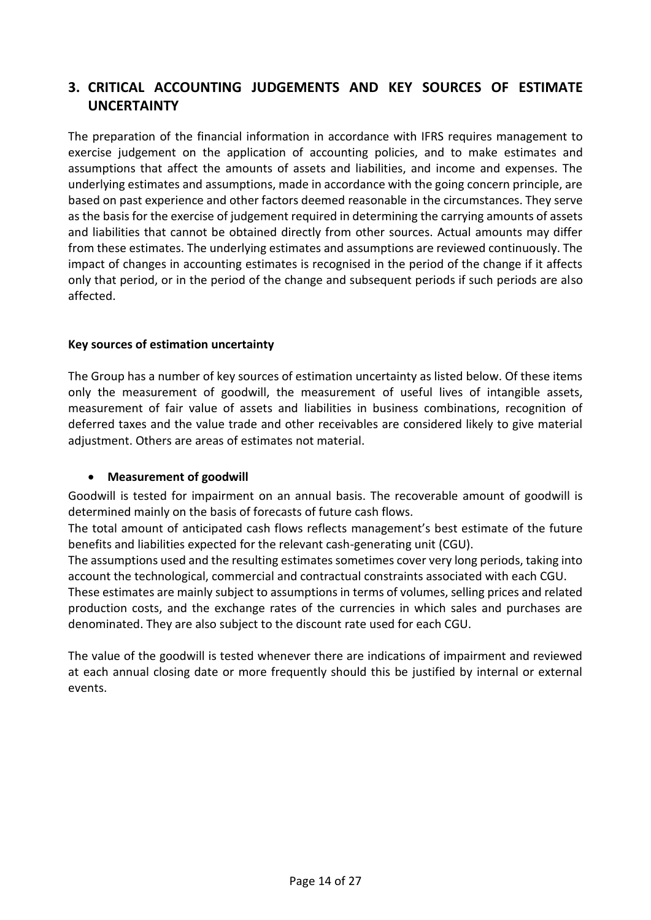### **3. CRITICAL ACCOUNTING JUDGEMENTS AND KEY SOURCES OF ESTIMATE UNCERTAINTY**

The preparation of the financial information in accordance with IFRS requires management to exercise judgement on the application of accounting policies, and to make estimates and assumptions that affect the amounts of assets and liabilities, and income and expenses. The underlying estimates and assumptions, made in accordance with the going concern principle, are based on past experience and other factors deemed reasonable in the circumstances. They serve as the basis for the exercise of judgement required in determining the carrying amounts of assets and liabilities that cannot be obtained directly from other sources. Actual amounts may differ from these estimates. The underlying estimates and assumptions are reviewed continuously. The impact of changes in accounting estimates is recognised in the period of the change if it affects only that period, or in the period of the change and subsequent periods if such periods are also affected.

### **Key sources of estimation uncertainty**

The Group has a number of key sources of estimation uncertainty as listed below. Of these items only the measurement of goodwill, the measurement of useful lives of intangible assets, measurement of fair value of assets and liabilities in business combinations, recognition of deferred taxes and the value trade and other receivables are considered likely to give material adjustment. Others are areas of estimates not material.

### • **Measurement of goodwill**

Goodwill is tested for impairment on an annual basis. The recoverable amount of goodwill is determined mainly on the basis of forecasts of future cash flows.

The total amount of anticipated cash flows reflects management's best estimate of the future benefits and liabilities expected for the relevant cash-generating unit (CGU).

The assumptions used and the resulting estimates sometimes cover very long periods, taking into account the technological, commercial and contractual constraints associated with each CGU.

These estimates are mainly subject to assumptions in terms of volumes, selling prices and related production costs, and the exchange rates of the currencies in which sales and purchases are denominated. They are also subject to the discount rate used for each CGU.

The value of the goodwill is tested whenever there are indications of impairment and reviewed at each annual closing date or more frequently should this be justified by internal or external events.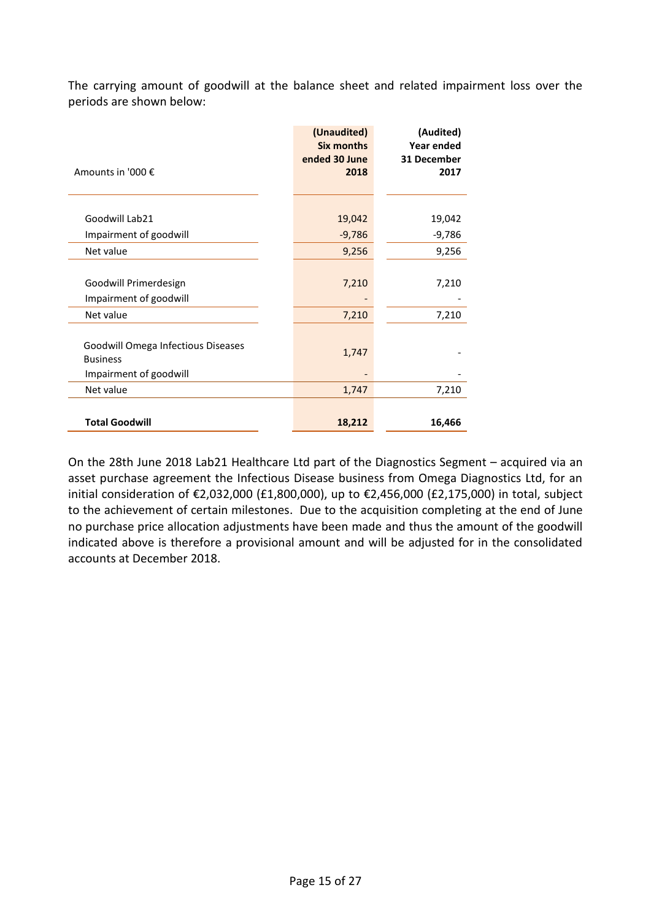The carrying amount of goodwill at the balance sheet and related impairment loss over the periods are shown below:

| Amounts in '000 €                                                               | (Unaudited)<br><b>Six months</b><br>ended 30 June<br>2018 | (Audited)<br><b>Year ended</b><br>31 December<br>2017 |
|---------------------------------------------------------------------------------|-----------------------------------------------------------|-------------------------------------------------------|
|                                                                                 |                                                           |                                                       |
| Goodwill Lab21                                                                  | 19,042                                                    | 19,042                                                |
| Impairment of goodwill                                                          | $-9,786$                                                  | $-9,786$                                              |
| Net value                                                                       | 9,256                                                     | 9,256                                                 |
|                                                                                 |                                                           |                                                       |
| Goodwill Primerdesign                                                           | 7,210                                                     | 7,210                                                 |
| Impairment of goodwill                                                          |                                                           |                                                       |
| Net value                                                                       | 7,210                                                     | 7,210                                                 |
| Goodwill Omega Infectious Diseases<br><b>Business</b><br>Impairment of goodwill | 1,747                                                     |                                                       |
| Net value                                                                       | 1,747                                                     | 7,210                                                 |
| <b>Total Goodwill</b>                                                           | 18,212                                                    | 16,466                                                |

On the 28th June 2018 Lab21 Healthcare Ltd part of the Diagnostics Segment – acquired via an asset purchase agreement the Infectious Disease business from Omega Diagnostics Ltd, for an initial consideration of €2,032,000 (£1,800,000), up to €2,456,000 (£2,175,000) in total, subject to the achievement of certain milestones. Due to the acquisition completing at the end of June no purchase price allocation adjustments have been made and thus the amount of the goodwill indicated above is therefore a provisional amount and will be adjusted for in the consolidated accounts at December 2018.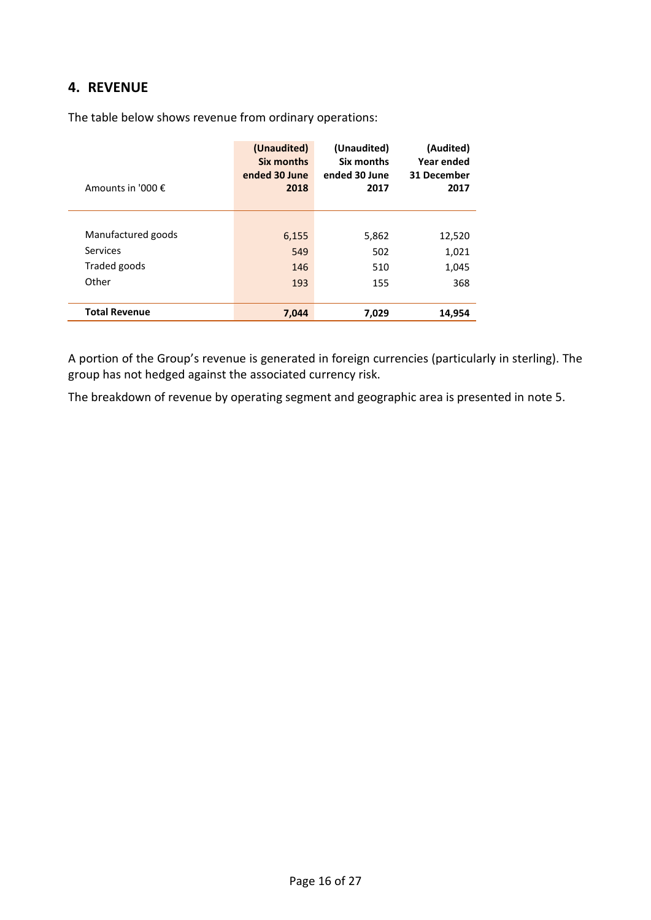### **4. REVENUE**

| Amounts in '000 $\epsilon$ | (Unaudited)<br>Six months<br>ended 30 June<br>2018 | (Unaudited)<br>Six months<br>ended 30 June<br>2017 | (Audited)<br>Year ended<br>31 December<br>2017 |
|----------------------------|----------------------------------------------------|----------------------------------------------------|------------------------------------------------|
|                            |                                                    |                                                    |                                                |
| Manufactured goods         | 6,155                                              | 5,862                                              | 12,520                                         |
| Services                   | 549                                                | 502                                                | 1,021                                          |
| Traded goods               | 146                                                | 510                                                | 1,045                                          |
| Other                      | 193                                                | 155                                                | 368                                            |
| <b>Total Revenue</b>       | 7,044                                              | 7,029                                              | 14,954                                         |

The table below shows revenue from ordinary operations:

A portion of the Group's revenue is generated in foreign currencies (particularly in sterling). The group has not hedged against the associated currency risk.

The breakdown of revenue by operating segment and geographic area is presented in note 5.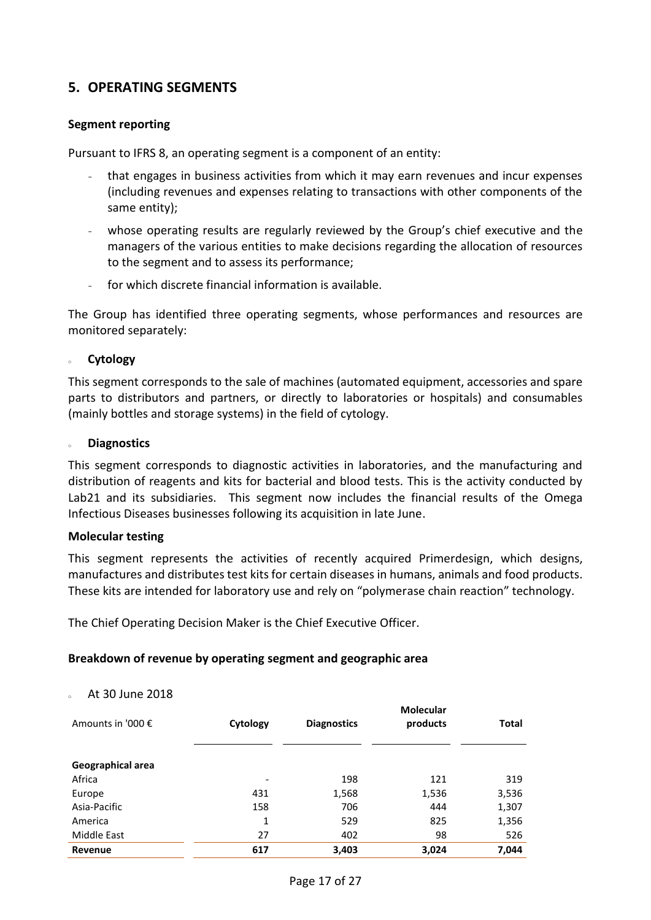### **5. OPERATING SEGMENTS**

#### **Segment reporting**

Pursuant to IFRS 8, an operating segment is a component of an entity:

- that engages in business activities from which it may earn revenues and incur expenses (including revenues and expenses relating to transactions with other components of the same entity);
- whose operating results are regularly reviewed by the Group's chief executive and the managers of the various entities to make decisions regarding the allocation of resources to the segment and to assess its performance;
- for which discrete financial information is available.

The Group has identified three operating segments, whose performances and resources are monitored separately:

#### **Cytology**

This segment corresponds to the sale of machines (automated equipment, accessories and spare parts to distributors and partners, or directly to laboratories or hospitals) and consumables (mainly bottles and storage systems) in the field of cytology.

#### <sup>o</sup> **Diagnostics**

This segment corresponds to diagnostic activities in laboratories, and the manufacturing and distribution of reagents and kits for bacterial and blood tests. This is the activity conducted by Lab21 and its subsidiaries. This segment now includes the financial results of the Omega Infectious Diseases businesses following its acquisition in late June.

#### **Molecular testing**

This segment represents the activities of recently acquired Primerdesign, which designs, manufactures and distributes test kits for certain diseases in humans, animals and food products. These kits are intended for laboratory use and rely on "polymerase chain reaction" technology.

The Chief Operating Decision Maker is the Chief Executive Officer.

#### **Breakdown of revenue by operating segment and geographic area**

#### <sup>o</sup> At 30 June 2018

| Amounts in '000 € | Cytology                 | <b>Diagnostics</b> | Molecular<br>products | <b>Total</b> |
|-------------------|--------------------------|--------------------|-----------------------|--------------|
| Geographical area |                          |                    |                       |              |
| Africa            | $\overline{\phantom{a}}$ | 198                | 121                   | 319          |
| Europe            | 431                      | 1,568              | 1,536                 | 3,536        |
| Asia-Pacific      | 158                      | 706                | 444                   | 1,307        |
| America           | 1                        | 529                | 825                   | 1,356        |
| Middle East       | 27                       | 402                | 98                    | 526          |
| Revenue           | 617                      | 3,403              | 3,024                 | 7,044        |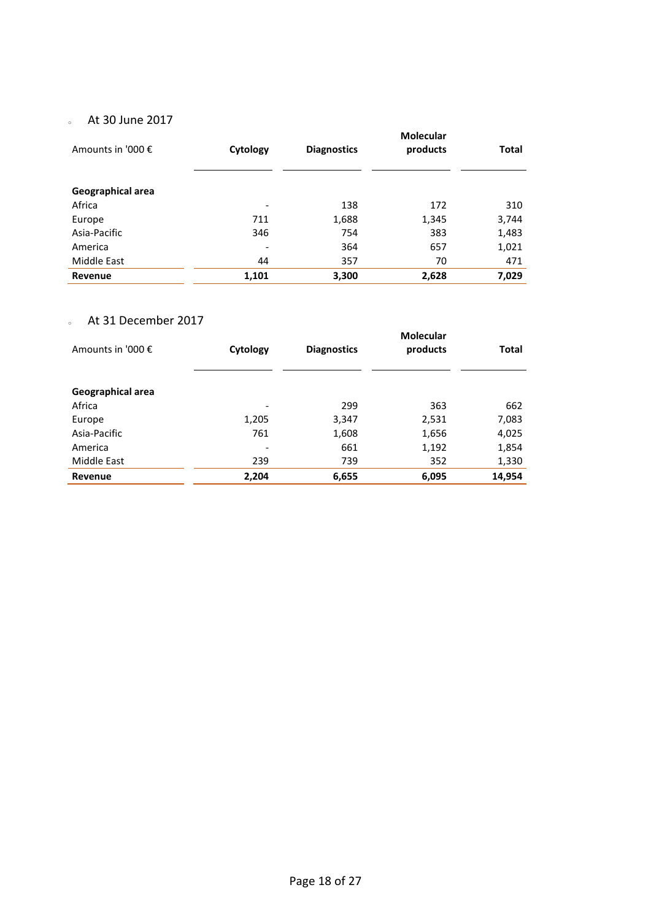### o At 30 June 2017

| Amounts in '000 € | Cytology                 | <b>Diagnostics</b> | <b>Molecular</b><br>products | Total |
|-------------------|--------------------------|--------------------|------------------------------|-------|
|                   |                          |                    |                              |       |
| Geographical area |                          |                    |                              |       |
| Africa            | ٠                        | 138                | 172                          | 310   |
| Europe            | 711                      | 1,688              | 1,345                        | 3,744 |
| Asia-Pacific      | 346                      | 754                | 383                          | 1,483 |
| America           | $\overline{\phantom{a}}$ | 364                | 657                          | 1,021 |
| Middle East       | 44                       | 357                | 70                           | 471   |
| Revenue           | 1,101                    | 3,300              | 2,628                        | 7,029 |

### <sup>o</sup> At 31 December 2017

| Amounts in '000 € | Cytology                 | <b>Diagnostics</b> | Molecular<br>products | Total  |
|-------------------|--------------------------|--------------------|-----------------------|--------|
| Geographical area |                          |                    |                       |        |
| Africa            |                          | 299                | 363                   | 662    |
| Europe            | 1,205                    | 3,347              | 2,531                 | 7,083  |
| Asia-Pacific      | 761                      | 1,608              | 1,656                 | 4,025  |
| America           | $\overline{\phantom{a}}$ | 661                | 1,192                 | 1,854  |
| Middle East       | 239                      | 739                | 352                   | 1,330  |
| Revenue           | 2,204                    | 6,655              | 6,095                 | 14,954 |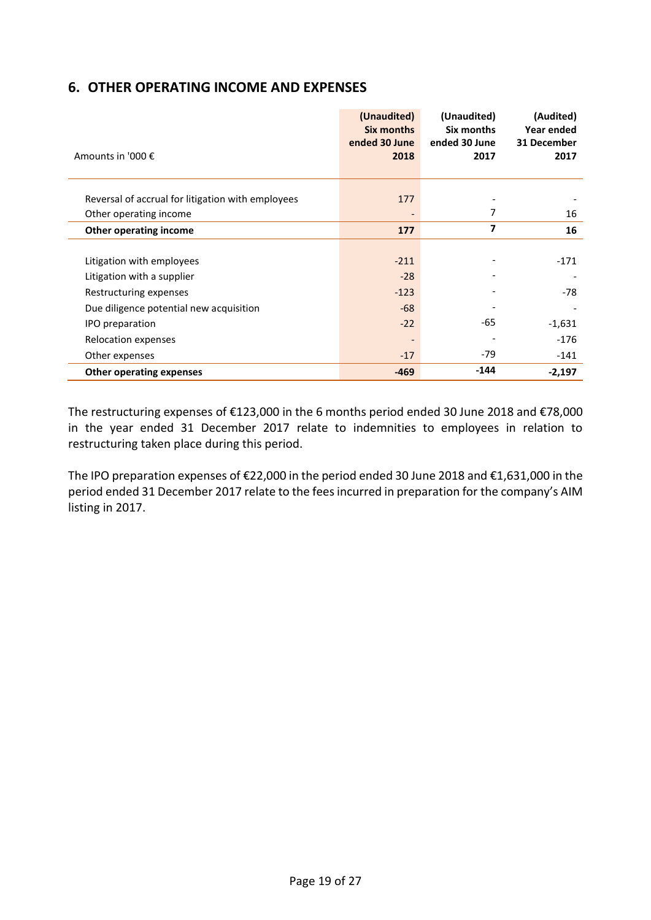### **6. OTHER OPERATING INCOME AND EXPENSES**

|                                                   | (Unaudited)<br><b>Six months</b> | (Unaudited)<br>Six months | (Audited)<br>Year ended |
|---------------------------------------------------|----------------------------------|---------------------------|-------------------------|
|                                                   | ended 30 June                    | ended 30 June             | 31 December             |
| Amounts in '000 €                                 | 2018                             | 2017                      | 2017                    |
|                                                   |                                  |                           |                         |
|                                                   | 177                              |                           |                         |
| Reversal of accrual for litigation with employees |                                  |                           |                         |
| Other operating income                            |                                  | 7                         | 16                      |
| Other operating income                            | 177                              | 7                         | 16                      |
|                                                   |                                  |                           |                         |
| Litigation with employees                         | $-211$                           |                           | $-171$                  |
| Litigation with a supplier                        | $-28$                            |                           |                         |
| Restructuring expenses                            | $-123$                           |                           | $-78$                   |
| Due diligence potential new acquisition           | $-68$                            |                           |                         |
| IPO preparation                                   | $-22$                            | -65                       | $-1,631$                |
| Relocation expenses                               | $\overline{\phantom{a}}$         |                           | $-176$                  |
| Other expenses                                    | $-17$                            | $-79$                     | -141                    |
| <b>Other operating expenses</b>                   | $-469$                           | $-144$                    | $-2,197$                |

The restructuring expenses of €123,000 in the 6 months period ended 30 June 2018 and €78,000 in the year ended 31 December 2017 relate to indemnities to employees in relation to restructuring taken place during this period.

The IPO preparation expenses of €22,000 in the period ended 30 June 2018 and €1,631,000 in the period ended 31 December 2017 relate to the fees incurred in preparation for the company's AIM listing in 2017.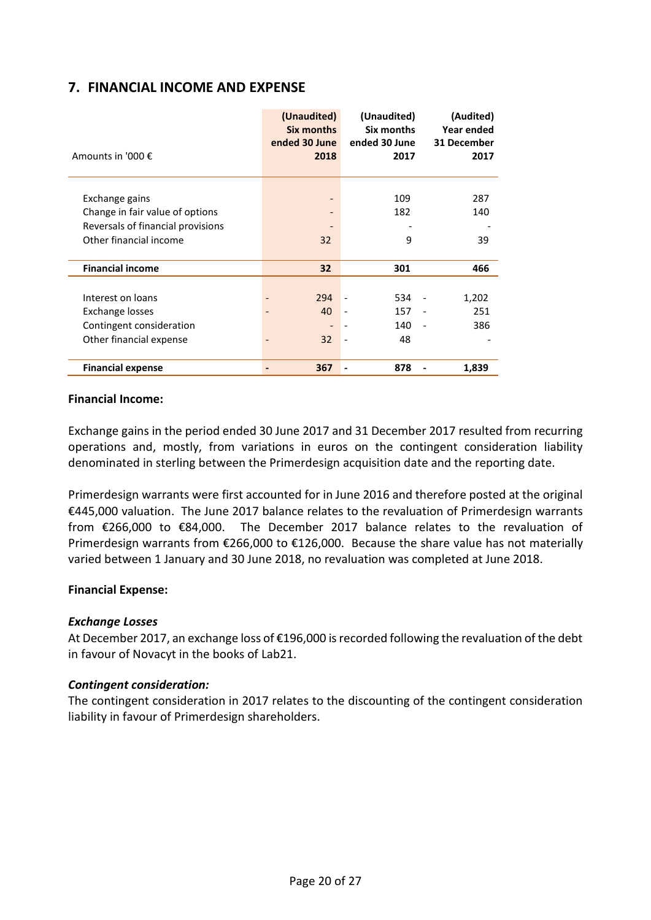### **7. FINANCIAL INCOME AND EXPENSE**

|                                   | (Unaudited)<br>Six months<br>ended 30 June | (Unaudited)<br>Six months<br>ended 30 June | (Audited)<br>Year ended<br>31 December |
|-----------------------------------|--------------------------------------------|--------------------------------------------|----------------------------------------|
| Amounts in '000 €                 | 2018                                       | 2017                                       | 2017                                   |
| Exchange gains                    |                                            | 109                                        | 287                                    |
| Change in fair value of options   |                                            | 182                                        | 140                                    |
| Reversals of financial provisions |                                            |                                            |                                        |
| Other financial income            | 32                                         | 9                                          | 39                                     |
|                                   |                                            |                                            |                                        |
| <b>Financial income</b>           | 32                                         | 301                                        | 466                                    |
|                                   |                                            |                                            |                                        |
| Interest on loans                 | 294                                        | 534                                        | 1,202                                  |
| Exchange losses                   | 40                                         | 157                                        | 251                                    |
| Contingent consideration          |                                            | 140                                        | 386                                    |
| Other financial expense           | 32                                         | 48<br>$\overline{\phantom{a}}$             |                                        |
|                                   |                                            |                                            |                                        |
| <b>Financial expense</b>          | 367<br>۰                                   | 878                                        | 1,839                                  |

#### **Financial Income:**

Exchange gains in the period ended 30 June 2017 and 31 December 2017 resulted from recurring operations and, mostly, from variations in euros on the contingent consideration liability denominated in sterling between the Primerdesign acquisition date and the reporting date.

Primerdesign warrants were first accounted for in June 2016 and therefore posted at the original €445,000 valuation. The June 2017 balance relates to the revaluation of Primerdesign warrants from €266,000 to €84,000. The December 2017 balance relates to the revaluation of Primerdesign warrants from €266,000 to €126,000. Because the share value has not materially varied between 1 January and 30 June 2018, no revaluation was completed at June 2018.

### **Financial Expense:**

### *Exchange Losses*

At December 2017, an exchange loss of €196,000 is recorded following the revaluation of the debt in favour of Novacyt in the books of Lab21.

### *Contingent consideration:*

The contingent consideration in 2017 relates to the discounting of the contingent consideration liability in favour of Primerdesign shareholders.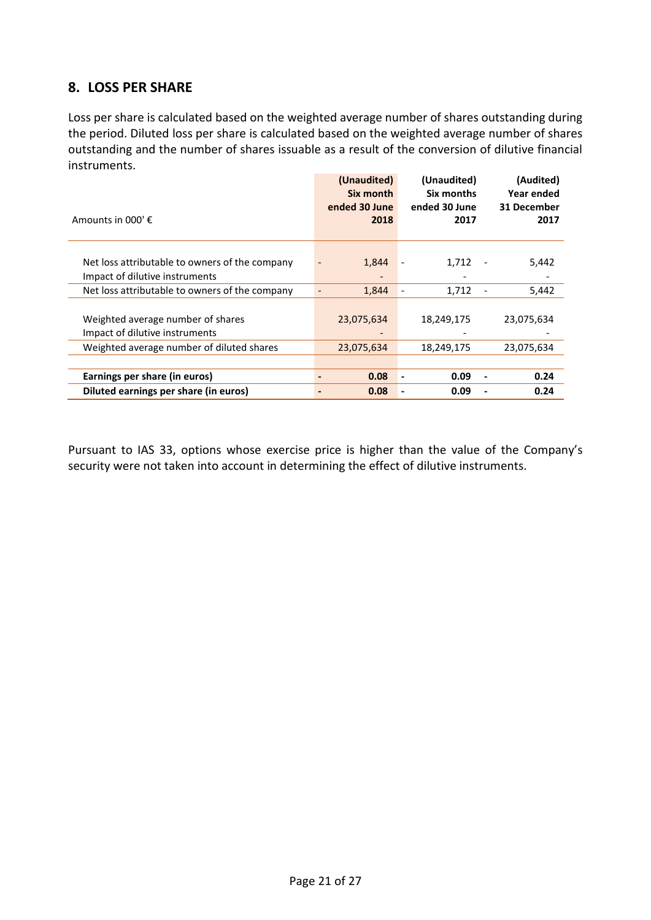### **8. LOSS PER SHARE**

Loss per share is calculated based on the weighted average number of shares outstanding during the period. Diluted loss per share is calculated based on the weighted average number of shares outstanding and the number of shares issuable as a result of the conversion of dilutive financial instruments.

|                                                | (Unaudited)<br>Six month<br>ended 30 June | (Unaudited)<br>Six months<br>ended 30 June | (Audited)<br>Year ended<br>31 December |
|------------------------------------------------|-------------------------------------------|--------------------------------------------|----------------------------------------|
| Amounts in 000' €                              | 2018                                      | 2017                                       | 2017                                   |
|                                                |                                           |                                            |                                        |
| Net loss attributable to owners of the company | 1,844                                     | 1,712                                      | 5,442                                  |
| Impact of dilutive instruments                 |                                           |                                            |                                        |
| Net loss attributable to owners of the company | 1,844                                     | 1,712                                      | 5,442                                  |
|                                                |                                           |                                            |                                        |
| Weighted average number of shares              | 23,075,634                                | 18,249,175                                 | 23,075,634                             |
| Impact of dilutive instruments                 |                                           |                                            |                                        |
| Weighted average number of diluted shares      | 23,075,634                                | 18,249,175                                 | 23,075,634                             |
|                                                |                                           |                                            |                                        |
| Earnings per share (in euros)                  | 0.08                                      | 0.09<br>-                                  | 0.24                                   |
| Diluted earnings per share (in euros)          | 0.08                                      | 0.09                                       | 0.24                                   |

Pursuant to IAS 33, options whose exercise price is higher than the value of the Company's security were not taken into account in determining the effect of dilutive instruments.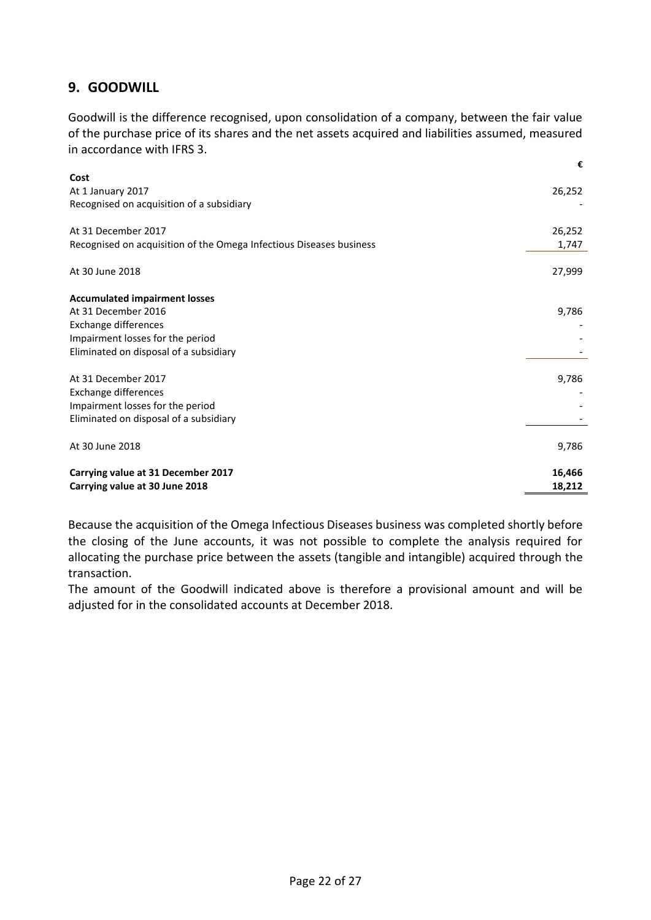### **9. GOODWILL**

Goodwill is the difference recognised, upon consolidation of a company, between the fair value of the purchase price of its shares and the net assets acquired and liabilities assumed, measured in accordance with IFRS 3.

| Cost<br>26,252<br>At 1 January 2017<br>Recognised on acquisition of a subsidiary<br>26,252<br>Recognised on acquisition of the Omega Infectious Diseases business<br>1,747<br>27,999<br><b>Accumulated impairment losses</b><br>At 31 December 2016<br>9,786<br>Impairment losses for the period<br>Eliminated on disposal of a subsidiary<br>9,786<br>Exchange differences<br>Impairment losses for the period<br>Eliminated on disposal of a subsidiary<br>At 30 June 2018<br>9,786<br>16,466<br>Carrying value at 30 June 2018<br>18,212 |                                    | € |
|---------------------------------------------------------------------------------------------------------------------------------------------------------------------------------------------------------------------------------------------------------------------------------------------------------------------------------------------------------------------------------------------------------------------------------------------------------------------------------------------------------------------------------------------|------------------------------------|---|
|                                                                                                                                                                                                                                                                                                                                                                                                                                                                                                                                             |                                    |   |
|                                                                                                                                                                                                                                                                                                                                                                                                                                                                                                                                             |                                    |   |
|                                                                                                                                                                                                                                                                                                                                                                                                                                                                                                                                             |                                    |   |
|                                                                                                                                                                                                                                                                                                                                                                                                                                                                                                                                             |                                    |   |
|                                                                                                                                                                                                                                                                                                                                                                                                                                                                                                                                             | At 31 December 2017                |   |
|                                                                                                                                                                                                                                                                                                                                                                                                                                                                                                                                             |                                    |   |
|                                                                                                                                                                                                                                                                                                                                                                                                                                                                                                                                             |                                    |   |
|                                                                                                                                                                                                                                                                                                                                                                                                                                                                                                                                             | At 30 June 2018                    |   |
|                                                                                                                                                                                                                                                                                                                                                                                                                                                                                                                                             |                                    |   |
|                                                                                                                                                                                                                                                                                                                                                                                                                                                                                                                                             |                                    |   |
|                                                                                                                                                                                                                                                                                                                                                                                                                                                                                                                                             |                                    |   |
|                                                                                                                                                                                                                                                                                                                                                                                                                                                                                                                                             | Exchange differences               |   |
|                                                                                                                                                                                                                                                                                                                                                                                                                                                                                                                                             |                                    |   |
|                                                                                                                                                                                                                                                                                                                                                                                                                                                                                                                                             |                                    |   |
|                                                                                                                                                                                                                                                                                                                                                                                                                                                                                                                                             | At 31 December 2017                |   |
|                                                                                                                                                                                                                                                                                                                                                                                                                                                                                                                                             |                                    |   |
|                                                                                                                                                                                                                                                                                                                                                                                                                                                                                                                                             |                                    |   |
|                                                                                                                                                                                                                                                                                                                                                                                                                                                                                                                                             |                                    |   |
|                                                                                                                                                                                                                                                                                                                                                                                                                                                                                                                                             |                                    |   |
|                                                                                                                                                                                                                                                                                                                                                                                                                                                                                                                                             |                                    |   |
|                                                                                                                                                                                                                                                                                                                                                                                                                                                                                                                                             |                                    |   |
|                                                                                                                                                                                                                                                                                                                                                                                                                                                                                                                                             | Carrying value at 31 December 2017 |   |
|                                                                                                                                                                                                                                                                                                                                                                                                                                                                                                                                             |                                    |   |

Because the acquisition of the Omega Infectious Diseases business was completed shortly before the closing of the June accounts, it was not possible to complete the analysis required for allocating the purchase price between the assets (tangible and intangible) acquired through the transaction.

The amount of the Goodwill indicated above is therefore a provisional amount and will be adjusted for in the consolidated accounts at December 2018.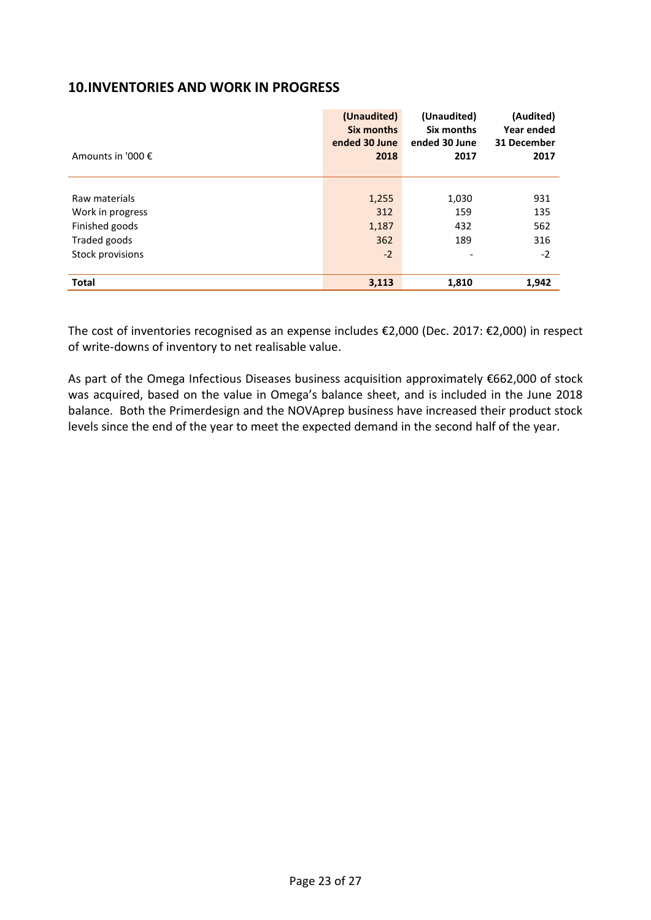### **10.INVENTORIES AND WORK IN PROGRESS**

| Amounts in '000 € | (Unaudited)<br><b>Six months</b><br>ended 30 June<br>2018 | (Unaudited)<br>Six months<br>ended 30 June<br>2017 | (Audited)<br>Year ended<br>31 December<br>2017 |
|-------------------|-----------------------------------------------------------|----------------------------------------------------|------------------------------------------------|
|                   |                                                           |                                                    |                                                |
| Raw materials     | 1,255                                                     | 1,030                                              | 931                                            |
| Work in progress  | 312                                                       | 159                                                | 135                                            |
| Finished goods    | 1,187                                                     | 432                                                | 562                                            |
| Traded goods      | 362                                                       | 189                                                | 316                                            |
| Stock provisions  | $-2$                                                      |                                                    | $-2$                                           |
|                   |                                                           |                                                    |                                                |
| <b>Total</b>      | 3,113                                                     | 1,810                                              | 1,942                                          |

The cost of inventories recognised as an expense includes €2,000 (Dec. 2017: €2,000) in respect of write-downs of inventory to net realisable value.

As part of the Omega Infectious Diseases business acquisition approximately €662,000 of stock was acquired, based on the value in Omega's balance sheet, and is included in the June 2018 balance. Both the Primerdesign and the NOVAprep business have increased their product stock levels since the end of the year to meet the expected demand in the second half of the year.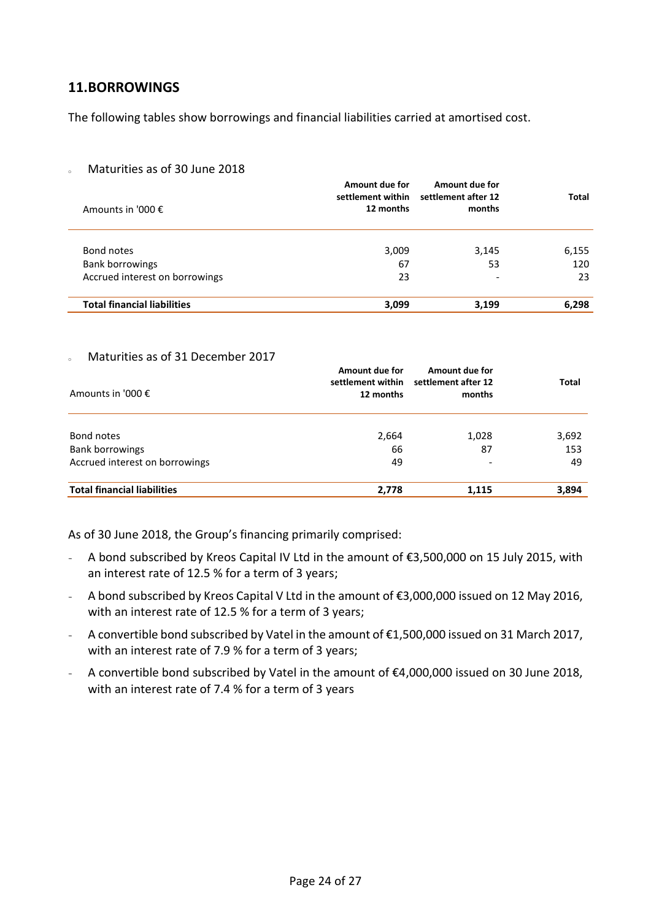### **11.BORROWINGS**

The following tables show borrowings and financial liabilities carried at amortised cost.

### o Maturities as of 30 June 2018

| Amounts in '000 €                  | Amount due for<br>settlement within<br>12 months | Amount due for<br>settlement after 12<br>months | Total |
|------------------------------------|--------------------------------------------------|-------------------------------------------------|-------|
| Bond notes                         | 3,009                                            | 3,145                                           | 6,155 |
| <b>Bank borrowings</b>             | 67                                               | 53                                              | 120   |
| Accrued interest on borrowings     | 23                                               |                                                 | 23    |
| <b>Total financial liabilities</b> | 3,099                                            | 3,199                                           | 6,298 |

#### Maturities as of 31 December 2017

| Amounts in '000 €                  | Amount due for<br>settlement within<br>12 months | Amount due for<br>settlement after 12<br>months | <b>Total</b> |
|------------------------------------|--------------------------------------------------|-------------------------------------------------|--------------|
| Bond notes                         | 2,664                                            | 1,028                                           | 3,692        |
| <b>Bank borrowings</b>             | 66                                               | 87                                              | 153          |
| Accrued interest on borrowings     | 49                                               |                                                 | 49           |
| <b>Total financial liabilities</b> | 2,778                                            | 1,115                                           | 3,894        |

As of 30 June 2018, the Group's financing primarily comprised:

- A bond subscribed by Kreos Capital IV Ltd in the amount of €3,500,000 on 15 July 2015, with an interest rate of 12.5 % for a term of 3 years;
- A bond subscribed by Kreos Capital V Ltd in the amount of €3,000,000 issued on 12 May 2016, with an interest rate of 12.5 % for a term of 3 years;
- A convertible bond subscribed by Vatel in the amount of €1,500,000 issued on 31 March 2017, with an interest rate of 7.9 % for a term of 3 years;
- A convertible bond subscribed by Vatel in the amount of €4,000,000 issued on 30 June 2018, with an interest rate of 7.4 % for a term of 3 years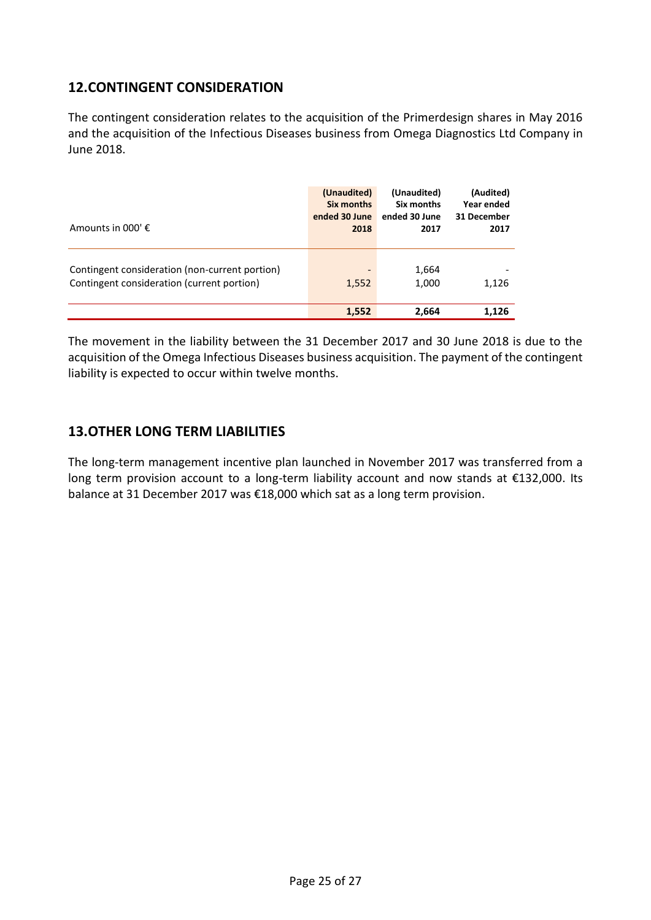### **12.CONTINGENT CONSIDERATION**

The contingent consideration relates to the acquisition of the Primerdesign shares in May 2016 and the acquisition of the Infectious Diseases business from Omega Diagnostics Ltd Company in June 2018.

| Amounts in 000' $\epsilon$                     | (Unaudited)              | (Unaudited)   | (Audited)   |
|------------------------------------------------|--------------------------|---------------|-------------|
|                                                | Six months               | Six months    | Year ended  |
|                                                | ended 30 June            | ended 30 June | 31 December |
|                                                | 2018                     | 2017          | 2017        |
| Contingent consideration (non-current portion) | $\overline{\phantom{a}}$ | 1,664         | 1,126       |
| Contingent consideration (current portion)     | 1,552                    | 1,000         |             |
|                                                | 1,552                    | 2,664         | 1.126       |

The movement in the liability between the 31 December 2017 and 30 June 2018 is due to the acquisition of the Omega Infectious Diseases business acquisition. The payment of the contingent liability is expected to occur within twelve months.

### **13.OTHER LONG TERM LIABILITIES**

The long-term management incentive plan launched in November 2017 was transferred from a long term provision account to a long-term liability account and now stands at €132,000. Its balance at 31 December 2017 was €18,000 which sat as a long term provision.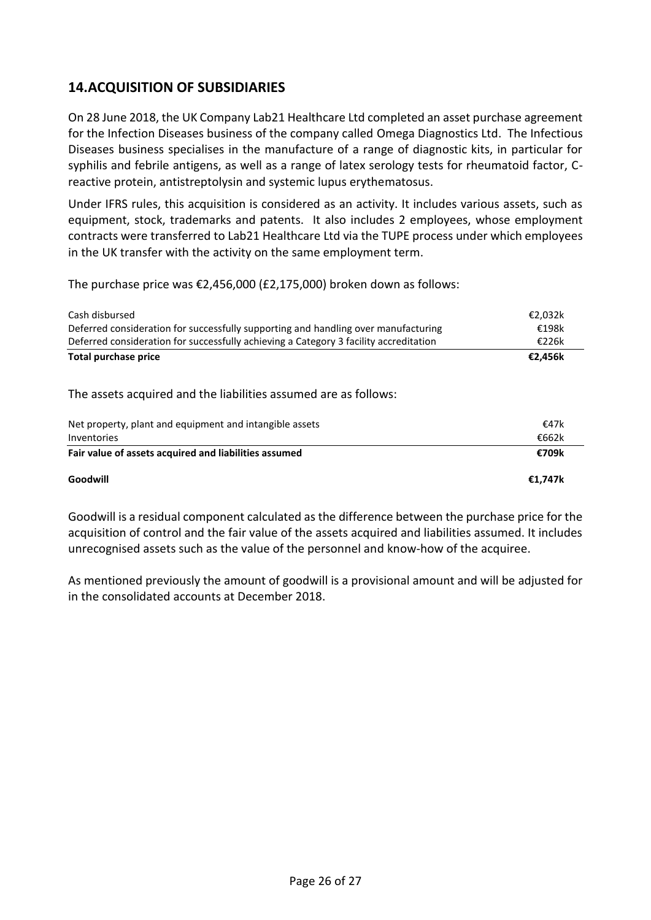### **14.ACQUISITION OF SUBSIDIARIES**

On 28 June 2018, the UK Company Lab21 Healthcare Ltd completed an asset purchase agreement for the Infection Diseases business of the company called Omega Diagnostics Ltd. The Infectious Diseases business specialises in the manufacture of a range of diagnostic kits, in particular for syphilis and febrile antigens, as well as a range of latex serology tests for rheumatoid factor, Creactive protein, antistreptolysin and systemic lupus erythematosus.

Under IFRS rules, this acquisition is considered as an activity. It includes various assets, such as equipment, stock, trademarks and patents. It also includes 2 employees, whose employment contracts were transferred to Lab21 Healthcare Ltd via the TUPE process under which employees in the UK transfer with the activity on the same employment term.

The purchase price was €2,456,000 (£2,175,000) broken down as follows:

| Cash disbursed                                                                        | €2,032k |
|---------------------------------------------------------------------------------------|---------|
| Deferred consideration for successfully supporting and handling over manufacturing    | €198k   |
| Deferred consideration for successfully achieving a Category 3 facility accreditation | €226k   |
| <b>Total purchase price</b>                                                           | €2,456k |
| The assets acquired and the liabilities assumed are as follows:                       |         |
| Net property, plant and equipment and intangible assets                               | €47k    |
| Inventories                                                                           | €662k   |
| Fair value of assets acquired and liabilities assumed                                 | €709k   |
| Goodwill                                                                              | €1.747k |

Goodwill is a residual component calculated as the difference between the purchase price for the acquisition of control and the fair value of the assets acquired and liabilities assumed. It includes unrecognised assets such as the value of the personnel and know-how of the acquiree.

As mentioned previously the amount of goodwill is a provisional amount and will be adjusted for in the consolidated accounts at December 2018.